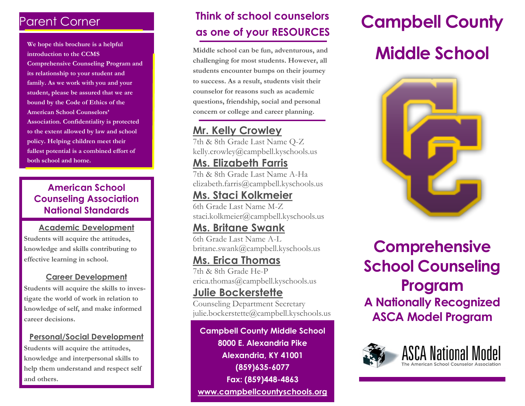# Parent Corner

**We hope this brochure is a helpful introduction to the CCMS Comprehensive Counseling Program and its relationship to your student and family. As we work with you and your student, please be assured that we are bound by the Code of Ethics of the American School Counselors' Association. Confidentiality is protected to the extent allowed by law and school policy. Helping children meet their fullest potential is a combined effort of both school and home.**

#### **American School Counseling Association National Standards**

#### **Academic Development**

**Students will acquire the attitudes, knowledge and skills contributing to effective learning in school.**

#### **Career Development**

**Students will acquire the skills to investigate the world of work in relation to knowledge of self, and make informed career decisions.**

#### **Personal/Social Development**

**Students will acquire the attitudes, knowledge and interpersonal skills to help them understand and respect self and others.**

# **Think of school counselors as one of your RESOURCES**

**Middle school can be fun, adventurous, and challenging for most students. However, all students encounter bumps on their journey to success. As a result, students visit their counselor for reasons such as academic questions, friendship, social and personal concern or college and career planning.**

## **Mr. Kelly Crowley**

7th & 8th Grade Last Name Q-Z kelly.crowley@campbell.kyschools.us

### **Ms. Elizabeth Farris**

7th & 8th Grade Last Name A-Ha elizabeth.farris@campbell.kyschools.us

### **Ms. Staci Kolkmeier**

6th Grade Last Name M-Z staci.kolkmeier@campbell.kyschools.us

# **Ms. Britane Swank**

6th Grade Last Name A-L britane.swank@campbell.kyschools.us

### **Ms. Erica Thomas**

7th & 8th Grade He-P erica.thomas@campbell.kyschools.us

#### **Julie Bockerstette**

Counseling Department Secretary julie.bockerstette@campbell.kyschools.us

#### **Campbell County Middle School 8000 E. Alexandria Pike Alexandria, KY 41001 (859)635-6077 Fax: (859)448-4863 www.campbellcountyschools.org**

# **Campbell County**

# **Middle School**



# **Comprehensive School Counseling Program A Nationally Recognized ASCA Model Program**



i<br>I